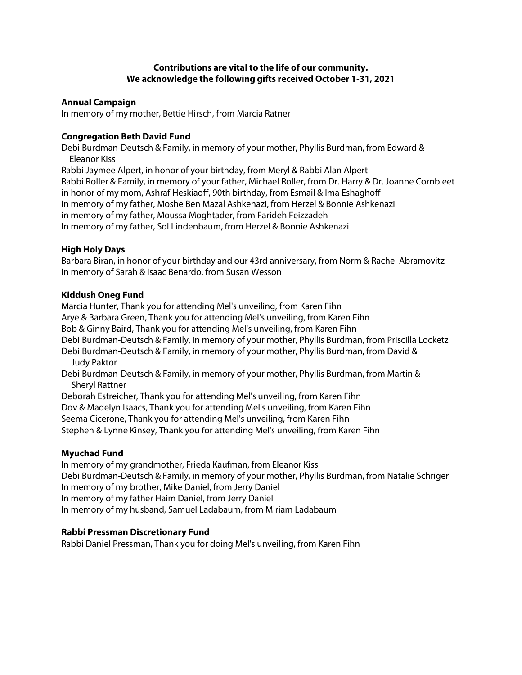# **Contributions are vital to the life of our community. We acknowledge the following gifts received October 1-31, 2021**

### **Annual Campaign**

In memory of my mother, Bettie Hirsch, from Marcia Ratner

## **Congregation Beth David Fund**

Debi Burdman-Deutsch & Family, in memory of your mother, Phyllis Burdman, from Edward & Eleanor Kiss Rabbi Jaymee Alpert, in honor of your birthday, from Meryl & Rabbi Alan Alpert Rabbi Roller & Family, in memory of your father, Michael Roller, from Dr. Harry & Dr. Joanne Cornbleet in honor of my mom, Ashraf Heskiaoff, 90th birthday, from Esmail & Ima Eshaghoff In memory of my father, Moshe Ben Mazal Ashkenazi, from Herzel & Bonnie Ashkenazi

in memory of my father, Moussa Moghtader, from Farideh Feizzadeh

In memory of my father, Sol Lindenbaum, from Herzel & Bonnie Ashkenazi

## **High Holy Days**

Barbara Biran, in honor of your birthday and our 43rd anniversary, from Norm & Rachel Abramovitz In memory of Sarah & Isaac Benardo, from Susan Wesson

## **Kiddush Oneg Fund**

Marcia Hunter, Thank you for attending Mel's unveiling, from Karen Fihn Arye & Barbara Green, Thank you for attending Mel's unveiling, from Karen Fihn Bob & Ginny Baird, Thank you for attending Mel's unveiling, from Karen Fihn Debi Burdman-Deutsch & Family, in memory of your mother, Phyllis Burdman, from Priscilla Locketz Debi Burdman-Deutsch & Family, in memory of your mother, Phyllis Burdman, from David & Judy Paktor Debi Burdman-Deutsch & Family, in memory of your mother, Phyllis Burdman, from Martin & Sheryl Rattner Deborah Estreicher, Thank you for attending Mel's unveiling, from Karen Fihn Dov & Madelyn Isaacs, Thank you for attending Mel's unveiling, from Karen Fihn

Seema Cicerone, Thank you for attending Mel's unveiling, from Karen Fihn

Stephen & Lynne Kinsey, Thank you for attending Mel's unveiling, from Karen Fihn

### **Myuchad Fund**

In memory of my grandmother, Frieda Kaufman, from Eleanor Kiss Debi Burdman-Deutsch & Family, in memory of your mother, Phyllis Burdman, from Natalie Schriger In memory of my brother, Mike Daniel, from Jerry Daniel In memory of my father Haim Daniel, from Jerry Daniel In memory of my husband, Samuel Ladabaum, from Miriam Ladabaum

### **Rabbi Pressman Discretionary Fund**

Rabbi Daniel Pressman, Thank you for doing Mel's unveiling, from Karen Fihn